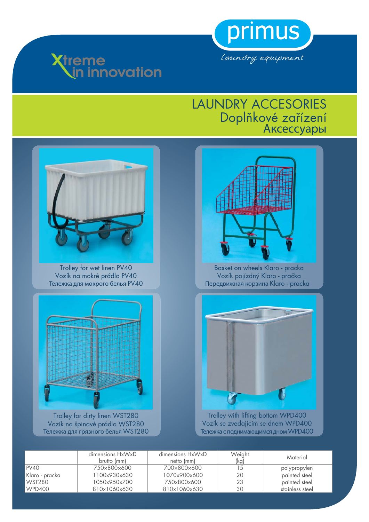





Trolley for wet linen PV40 Vozík na mokré prádlo PV40 Тележка для мокрого белья PV40



Trolley for dirty linen WST280 Vozík na špinavé prádlo WST280 Тележка для грязного белья WST280



Basket on wheels Klaro - pracka Vozík pojízdný Klaro - pračka Передвижная корзина Klaro - pracka



Trolley with lifting bottom WPD400 Vozík se zvedajícím se dnem WPD400 Тележка с поднимающимся дном WPD400

|                | dimensions HxWxD<br>brutto (mm) | dimensions HxWxD<br>netto (mm) | Weight<br>(kg) | Material        |
|----------------|---------------------------------|--------------------------------|----------------|-----------------|
| I PV40         | 750×800×600                     | 700×800×600                    |                | polypropylen    |
| Klaro - pracka | 100x930x630                     | 1070x900x600                   | 20             | painted steel   |
| l WST280       | 1050x950x700                    | 750x800x600                    | 23             | painted steel   |
| WPD400         | 810x1060x630                    | 810x1060x630                   | 30             | stainless steel |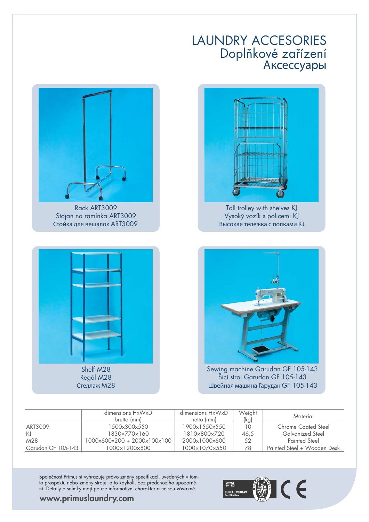

Tall trolley with shelves KJ Vysoký vozík s policemi KJ Высокая тележка с полками KJ





Shelf M28 Regál M28 Стеллаж M28



Sewing machine Garudan GF 105-143 Šicí stroj Garudan GF 105-143 Швейная машина Гарудан GF 105-143

|                    | dimensions HxWxD<br>brutto (mm) | dimensions HxWxD<br>netto (mm) | Weight<br>(kg) | Material                    |
|--------------------|---------------------------------|--------------------------------|----------------|-----------------------------|
| ART3009            | 1500×300×550                    | 1900x1550x550                  | 10             | Chrome Coated Steel         |
| IKJ                | 1830×770×160                    | 1810×800×720                   | 46,5           | <b>Galvanized Steel</b>     |
| M28                | 1000x600x200 + 2000x100x100     | 2000x1000x600                  | 52             | Painted Steel               |
| Garudan GF 105-143 | $1000 \times 1200 \times 800$   | 1000×1070×550                  | 78             | Painted Steel + Wooden Desk |

Společnost Primus si vyhrazuje právo změny specifikací, uvedených v tomto prospektu nebo změny strojů, a to kdykoli, bez předchozího upozornění. Detaily a snímky mají pouze informativní charakter a nejsou závazné.



#### **www.primuslaundry.com**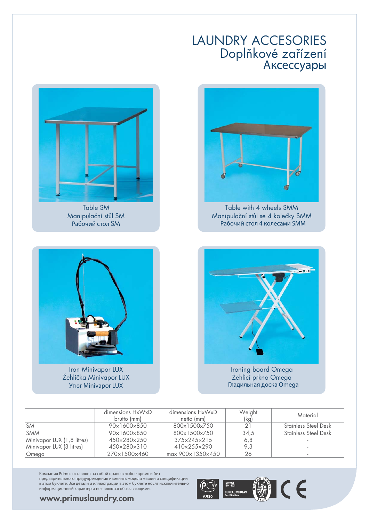

Table with 4 wheels SMM Manipulační stůl se 4 kolečky SMM Рабочий стол 4 колесами SMM



Table SM Manipulační stůl SM Рабочий стол SM

Iron Minivapor LUX Žehlička Minivapor LUX Утюг Minivapor LUX



Žehlicí prkno Omega Гладильная доска Omega

|                            | dimensions HxWxD<br>brutto (mm) | dimensions HxWxD<br>netto (mm) | Weight<br>(kg) | Material                    |
|----------------------------|---------------------------------|--------------------------------|----------------|-----------------------------|
| <b>SM</b>                  | 90×1600×850                     | 800x1500x750                   | 21             | Stainless Steel Desk        |
| <b>SMM</b>                 | 90x1600x850                     | 800x1500x750                   | 34,5           | <b>Stainless Steel Desk</b> |
| Minivapor LUX (1,8 litres) | 450×280×250                     | $375 \times 245 \times 215$    | 6,8            |                             |
| Minivapor LUX (3 litres)   | 450×280×310                     | 410×255×290                    | 9,3            |                             |
| Omega                      | 270×1500×460                    | max 900×1350×450               | 26             |                             |

Компания Primus оставляет за собой право в любое время и без предварительного предупреждения изменять модели машин и спецификации в этом буклете. Все детали и иллюстрации в этом буклете носят исключительно информационный характер и не являются обязывающими.



**www.primuslaundry.com**